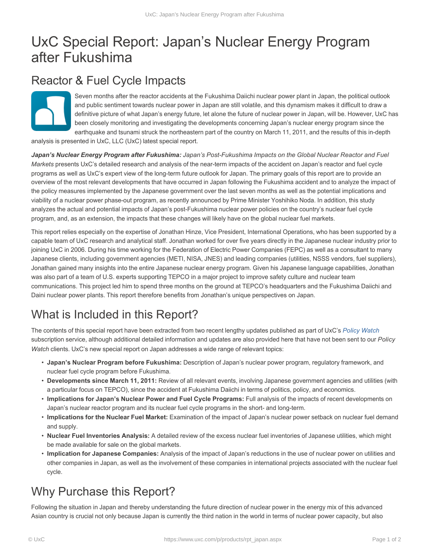# UxC Special Report: Japan's Nuclear Energy Program after Fukushima

#### Reactor & Fuel Cycle Impacts

Seven months after the reactor accidents at the Fukushima Daiichi nuclear power plant in Japan, the political outlook and public sentiment towards nuclear power in Japan are still volatile, and this dynamism makes it difficult to draw a definitive picture of what Japan's energy future, let alone the future of nuclear power in Japan, will be. However, UxC has been closely monitoring and investigating the developments concerning Japan's nuclear energy program since the earthquake and tsunami struck the northeastern part of the country on March 11, 2011, and the results of this in-depth

analysis is presented in UxC, LLC (UxC) latest special report.

*Japan's Nuclear Energy Program after Fukushima: Japan's Post-Fukushima Impacts on the Global Nuclear Reactor and Fuel Markets* presents UxC's detailed research and analysis of the near-term impacts of the accident on Japan's reactor and fuel cycle programs as well as UxC's expert view of the long-term future outlook for Japan. The primary goals of this report are to provide an overview of the most relevant developments that have occurred in Japan following the Fukushima accident and to analyze the impact of the policy measures implemented by the Japanese government over the last seven months as well as the potential implications and viability of a nuclear power phase-out program, as recently announced by Prime Minister Yoshihiko Noda. In addition, this study analyzes the actual and potential impacts of Japan's post-Fukushima nuclear power policies on the country's nuclear fuel cycle program, and, as an extension, the impacts that these changes will likely have on the global nuclear fuel markets.

This report relies especially on the expertise of Jonathan Hinze, Vice President, International Operations, who has been supported by a capable team of UxC research and analytical staff. Jonathan worked for over five years directly in the Japanese nuclear industry prior to joining UxC in 2006. During his time working for the Federation of Electric Power Companies (FEPC) as well as a consultant to many Japanese clients, including government agencies (METI, NISA, JNES) and leading companies (utilities, NSSS vendors, fuel suppliers), Jonathan gained many insights into the entire Japanese nuclear energy program. Given his Japanese language capabilities, Jonathan was also part of a team of U.S. experts supporting TEPCO in a major project to improve safety culture and nuclear team communications. This project led him to spend three months on the ground at TEPCO's headquarters and the Fukushima Daiichi and Daini nuclear power plants. This report therefore benefits from Jonathan's unique perspectives on Japan.

## What is Included in this Report?

The contents of this special report have been extracted from two recent lengthy updates published as part of UxC's *Policy Watch* subscription service, although additional detailed information and updates are also provided here that have not been sent to our *Policy Watch* clients. UxC's new special report on Japan addresses a wide range of relevant topics:

- **Japan's Nuclear Program before Fukushima:** Description of Japan's nuclear power program, regulatory framework, and nuclear fuel cycle program before Fukushima.
- **Developments since March 11, 2011:** Review of all relevant events, involving Japanese government agencies and utilities (with a particular focus on TEPCO), since the accident at Fukushima Daiichi in terms of politics, policy, and economics.
- **Implications for Japan's Nuclear Power and Fuel Cycle Programs:** Full analysis of the impacts of recent developments on Japan's nuclear reactor program and its nuclear fuel cycle programs in the short- and long-term.
- **Implications for the Nuclear Fuel Market:** Examination of the impact of Japan's nuclear power setback on nuclear fuel demand and supply.
- **Nuclear Fuel Inventories Analysis:** A detailed review of the excess nuclear fuel inventories of Japanese utilities, which might be made available for sale on the global markets.
- **Implication for Japanese Companies:** Analysis of the impact of Japan's reductions in the use of nuclear power on utilities and other companies in Japan, as well as the involvement of these companies in international projects associated with the nuclear fuel cycle.

## Why Purchase this Report?

Following the situation in Japan and thereby understanding the future direction of nuclear power in the energy mix of this advanced Asian country is crucial not only because Japan is currently the third nation in the world in terms of nuclear power capacity, but also